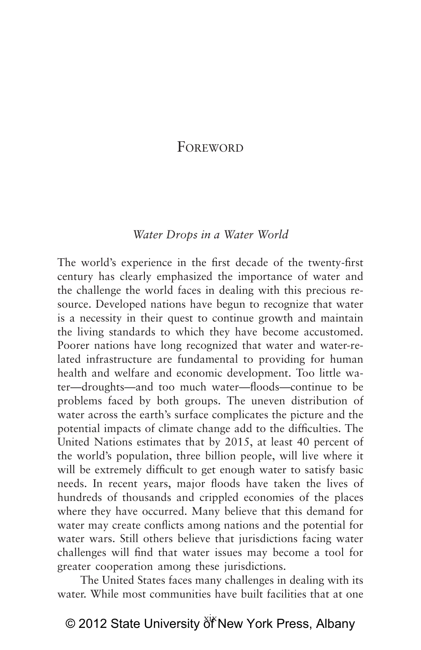## FoREWORD

#### *Water Drops in a Water World*

The world's experience in the first decade of the twenty-first century has clearly emphasized the importance of water and the challenge the world faces in dealing with this precious resource. Developed nations have begun to recognize that water is a necessity in their quest to continue growth and maintain the living standards to which they have become accustomed. Poorer nations have long recognized that water and water-related infrastructure are fundamental to providing for human health and welfare and economic development. Too little water—droughts—and too much water—floods—continue to be problems faced by both groups. The uneven distribution of water across the earth's surface complicates the picture and the potential impacts of climate change add to the difficulties. The United Nations estimates that by 2015, at least 40 percent of the world's population, three billion people, will live where it will be extremely difficult to get enough water to satisfy basic needs. In recent years, major floods have taken the lives of hundreds of thousands and crippled economies of the places where they have occurred. Many believe that this demand for water may create conflicts among nations and the potential for water wars. Still others believe that jurisdictions facing water challenges will find that water issues may become a tool for greater cooperation among these jurisdictions.

The United States faces many challenges in dealing with its water. While most communities have built facilities that at one

# © 2012 State University of New York Press, Albany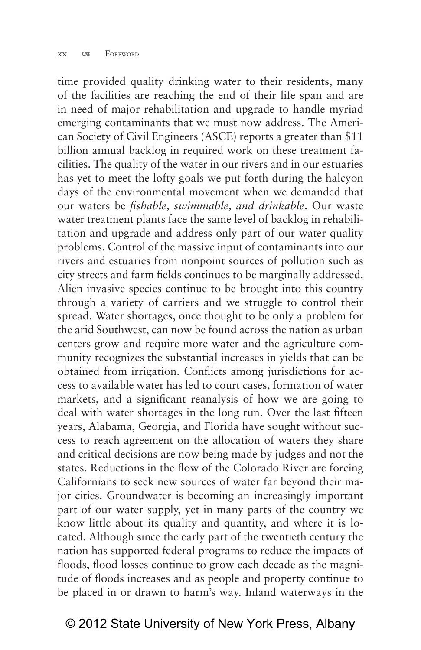time provided quality drinking water to their residents, many of the facilities are reaching the end of their life span and are in need of major rehabilitation and upgrade to handle myriad emerging contaminants that we must now address. The American Society of Civil Engineers (ASCE) reports a greater than \$11 billion annual backlog in required work on these treatment facilities. The quality of the water in our rivers and in our estuaries has yet to meet the lofty goals we put forth during the halcyon days of the environmental movement when we demanded that our waters be *fishable, swimmable, and drinkable*. Our waste water treatment plants face the same level of backlog in rehabilitation and upgrade and address only part of our water quality problems. Control of the massive input of contaminants into our rivers and estuaries from nonpoint sources of pollution such as city streets and farm fields continues to be marginally addressed. Alien invasive species continue to be brought into this country through a variety of carriers and we struggle to control their spread. Water shortages, once thought to be only a problem for the arid Southwest, can now be found across the nation as urban centers grow and require more water and the agriculture community recognizes the substantial increases in yields that can be obtained from irrigation. Conflicts among jurisdictions for access to available water has led to court cases, formation of water markets, and a significant reanalysis of how we are going to deal with water shortages in the long run. Over the last fifteen years, Alabama, Georgia, and Florida have sought without success to reach agreement on the allocation of waters they share and critical decisions are now being made by judges and not the states. Reductions in the flow of the Colorado River are forcing Californians to seek new sources of water far beyond their major cities. Groundwater is becoming an increasingly important part of our water supply, yet in many parts of the country we know little about its quality and quantity, and where it is located. Although since the early part of the twentieth century the nation has supported federal programs to reduce the impacts of floods, flood losses continue to grow each decade as the magnitude of floods increases and as people and property continue to be placed in or drawn to harm's way. Inland waterways in the

### © 2012 State University of New York Press, Albany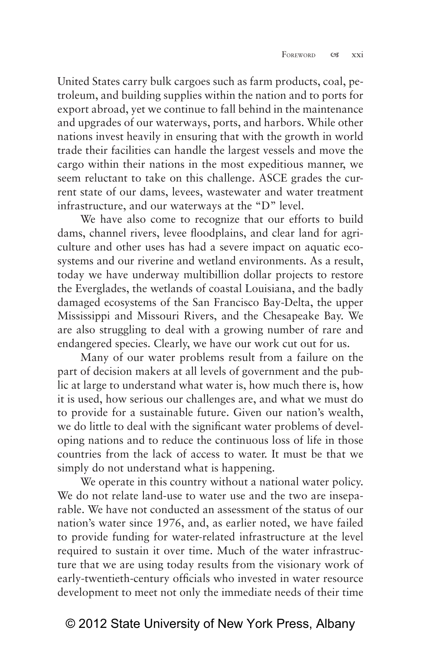United States carry bulk cargoes such as farm products, coal, petroleum, and building supplies within the nation and to ports for export abroad, yet we continue to fall behind in the maintenance and upgrades of our waterways, ports, and harbors. While other nations invest heavily in ensuring that with the growth in world trade their facilities can handle the largest vessels and move the cargo within their nations in the most expeditious manner, we seem reluctant to take on this challenge. ASCE grades the current state of our dams, levees, wastewater and water treatment infrastructure, and our waterways at the "D" level.

We have also come to recognize that our efforts to build dams, channel rivers, levee floodplains, and clear land for agriculture and other uses has had a severe impact on aquatic ecosystems and our riverine and wetland environments. As a result, today we have underway multibillion dollar projects to restore the Everglades, the wetlands of coastal Louisiana, and the badly damaged ecosystems of the San Francisco Bay-Delta, the upper Mississippi and Missouri Rivers, and the Chesapeake Bay. We are also struggling to deal with a growing number of rare and endangered species. Clearly, we have our work cut out for us.

Many of our water problems result from a failure on the part of decision makers at all levels of government and the public at large to understand what water is, how much there is, how it is used, how serious our challenges are, and what we must do to provide for a sustainable future. Given our nation's wealth, we do little to deal with the significant water problems of developing nations and to reduce the continuous loss of life in those countries from the lack of access to water. It must be that we simply do not understand what is happening.

We operate in this country without a national water policy. We do not relate land-use to water use and the two are inseparable. We have not conducted an assessment of the status of our nation's water since 1976, and, as earlier noted, we have failed to provide funding for water-related infrastructure at the level required to sustain it over time. Much of the water infrastructure that we are using today results from the visionary work of early-twentieth-century officials who invested in water resource development to meet not only the immediate needs of their time

## © 2012 State University of New York Press, Albany